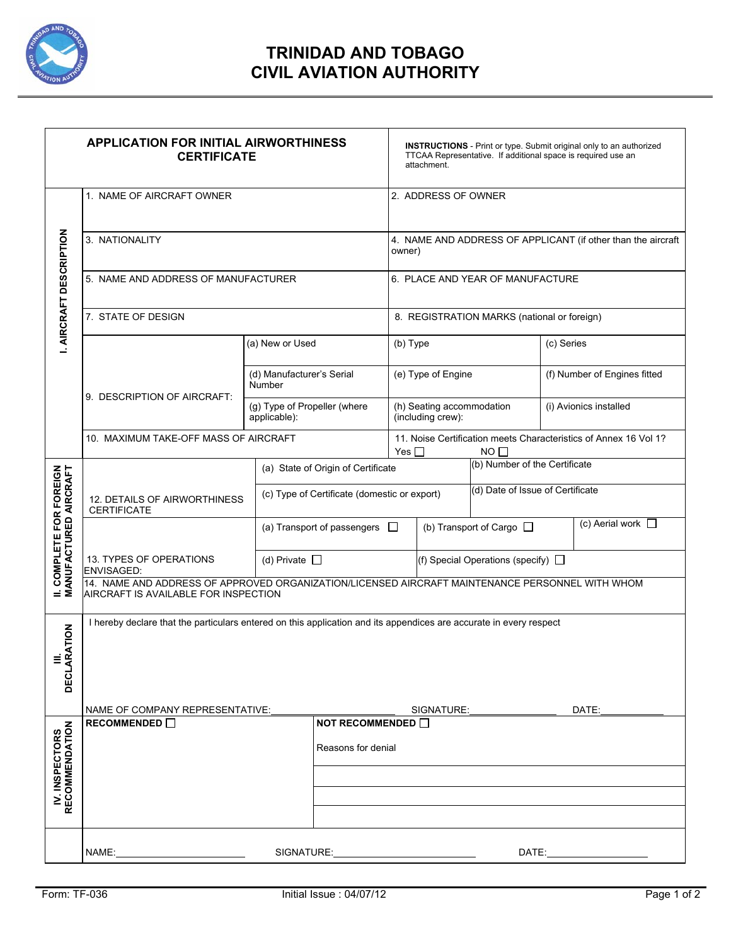

## **TRINIDAD AND TOBAGO CIVIL AVIATION AUTHORITY**

|                                                           | <b>APPLICATION FOR INITIAL AIRWORTHINESS</b><br><b>CERTIFICATE</b>                                                                      |                                              |                                         |                                                                                         |                                             | <b>INSTRUCTIONS</b> - Print or type. Submit original only to an authorized<br>TTCAA Representative. If additional space is required use an<br>attachment. |                              |       |  |  |  |
|-----------------------------------------------------------|-----------------------------------------------------------------------------------------------------------------------------------------|----------------------------------------------|-----------------------------------------|-----------------------------------------------------------------------------------------|---------------------------------------------|-----------------------------------------------------------------------------------------------------------------------------------------------------------|------------------------------|-------|--|--|--|
|                                                           | 1. NAME OF AIRCRAFT OWNER                                                                                                               |                                              |                                         | 2. ADDRESS OF OWNER                                                                     |                                             |                                                                                                                                                           |                              |       |  |  |  |
| <b>I. AIRCRAFT DESCRIPTION</b>                            | 3. NATIONALITY                                                                                                                          |                                              |                                         | 4. NAME AND ADDRESS OF APPLICANT (if other than the aircraft<br>owner)                  |                                             |                                                                                                                                                           |                              |       |  |  |  |
|                                                           | 5. NAME AND ADDRESS OF MANUFACTURER                                                                                                     |                                              |                                         | 6. PLACE AND YEAR OF MANUFACTURE                                                        |                                             |                                                                                                                                                           |                              |       |  |  |  |
|                                                           | 7. STATE OF DESIGN                                                                                                                      |                                              |                                         |                                                                                         | 8. REGISTRATION MARKS (national or foreign) |                                                                                                                                                           |                              |       |  |  |  |
|                                                           |                                                                                                                                         | (a) New or Used                              |                                         | $(b)$ Type                                                                              |                                             |                                                                                                                                                           | (c) Series                   |       |  |  |  |
|                                                           | 9. DESCRIPTION OF AIRCRAFT:                                                                                                             | (d) Manufacturer's Serial<br>Number          |                                         | (e) Type of Engine                                                                      |                                             |                                                                                                                                                           | (f) Number of Engines fitted |       |  |  |  |
|                                                           |                                                                                                                                         | (g) Type of Propeller (where<br>applicable): |                                         | (h) Seating accommodation<br>(including crew):                                          |                                             |                                                                                                                                                           | (i) Avionics installed       |       |  |  |  |
|                                                           | 10. MAXIMUM TAKE-OFF MASS OF AIRCRAFT                                                                                                   |                                              |                                         | 11. Noise Certification meets Characteristics of Annex 16 Vol 1?<br>Yes $\square$<br>NO |                                             |                                                                                                                                                           |                              |       |  |  |  |
|                                                           |                                                                                                                                         | (a) State of Origin of Certificate           |                                         |                                                                                         |                                             | (b) Number of the Certificate                                                                                                                             |                              |       |  |  |  |
| <b>II. COMPLETE FOR FOREIGN<br/>MANUFACTURED AIRCRAFT</b> | 12. DETAILS OF AIRWORTHINESS<br><b>CERTIFICATE</b>                                                                                      | (c) Type of Certificate (domestic or export) |                                         |                                                                                         |                                             | (d) Date of Issue of Certificate                                                                                                                          |                              |       |  |  |  |
|                                                           |                                                                                                                                         | (a) Transport of passengers $\Box$           | (b) Transport of Cargo                  |                                                                                         |                                             |                                                                                                                                                           | (c) Aerial work $\Box$       |       |  |  |  |
|                                                           | 13. TYPES OF OPERATIONS<br><b>ENVISAGED:</b>                                                                                            |                                              | (d) Private $\Box$                      |                                                                                         | (f) Special Operations (specify) □          |                                                                                                                                                           |                              |       |  |  |  |
|                                                           | 14. NAME AND ADDRESS OF APPROVED ORGANIZATION/LICENSED AIRCRAFT MAINTENANCE PERSONNEL WITH WHOM<br>AIRCRAFT IS AVAILABLE FOR INSPECTION |                                              |                                         |                                                                                         |                                             |                                                                                                                                                           |                              |       |  |  |  |
|                                                           | I hereby declare that the particulars entered on this application and its appendices are accurate in every respect                      |                                              |                                         |                                                                                         |                                             |                                                                                                                                                           |                              |       |  |  |  |
| III.<br>RATION                                            |                                                                                                                                         |                                              |                                         |                                                                                         |                                             |                                                                                                                                                           |                              |       |  |  |  |
| DECLA                                                     |                                                                                                                                         |                                              |                                         |                                                                                         |                                             |                                                                                                                                                           |                              |       |  |  |  |
|                                                           | NAME OF COMPANY REPRESENTATIVE:                                                                                                         |                                              |                                         | SIGNATURE:                                                                              |                                             |                                                                                                                                                           |                              | DATE: |  |  |  |
| IV. INSPECTORS<br>RECOMMENDATION                          | RECOMMENDED [                                                                                                                           |                                              | NOT RECOMMENDED [<br>Reasons for denial |                                                                                         |                                             |                                                                                                                                                           |                              |       |  |  |  |
|                                                           |                                                                                                                                         |                                              |                                         |                                                                                         |                                             |                                                                                                                                                           |                              |       |  |  |  |
|                                                           |                                                                                                                                         |                                              |                                         |                                                                                         |                                             |                                                                                                                                                           |                              |       |  |  |  |
|                                                           | NAME:                                                                                                                                   | SIGNATURE:                                   |                                         |                                                                                         |                                             |                                                                                                                                                           | DATE:                        |       |  |  |  |
|                                                           |                                                                                                                                         |                                              |                                         |                                                                                         |                                             |                                                                                                                                                           |                              |       |  |  |  |